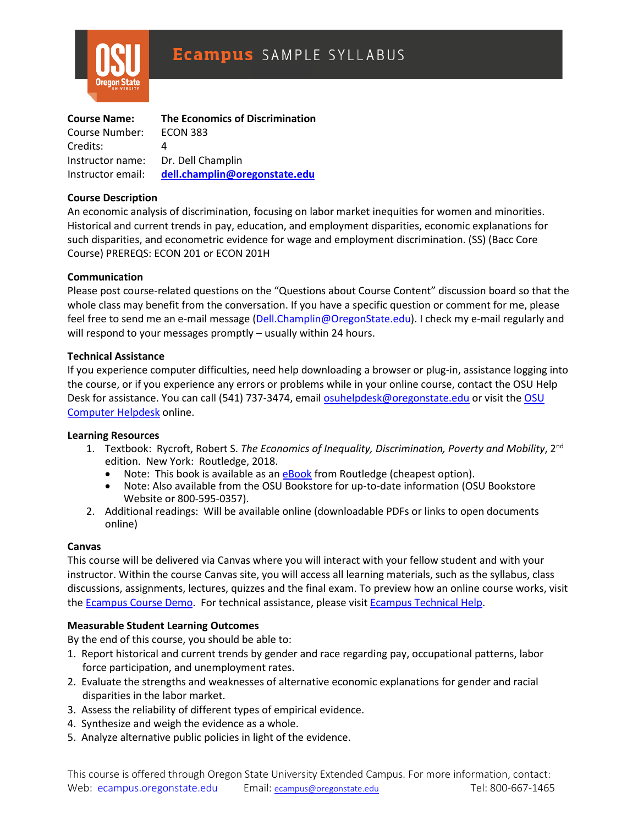

| <b>Course Name:</b> | <b>The Economics of Discrimination</b>          |
|---------------------|-------------------------------------------------|
| Course Number:      | <b>ECON 383</b>                                 |
| Credits:            |                                                 |
| Instructor name:    | Dr. Dell Champlin                               |
|                     | Instructor email: dell.champlin@oregonstate.edu |

### **[Course](http://catalog.oregonstate.edu/CourseDetail.aspx?subjectcode=ECON&coursenumber=383) Description**

An economic analysis of discrimination, focusing on labor market inequities for women and minorities. Historical and current trends in pay, education, and employment disparities, economic explanations for such disparities, and econometric evidence for wage and employment discrimination. (SS) (Bacc Core Course) PREREQS: ECON 201 or ECON 201H

### **Communication**

Please post course-related questions on the "Questions about Course Content" discussion board so that the whole class may benefit from the conversation. If you have a specific question or comment for me, please feel free to send me an e-mail message (Dell.Champlin@OregonState.edu). I check my e-mail regularly and will respond to your messages promptly – usually within 24 hours.

### **Technical Assistance**

If you experience computer difficulties, need help downloading a browser or plug-in, assistance logging into the course, or if you experience any errors or problems while in your online course, contact the OSU Help Desk for assistance. You can call (541) 737-3474, email [osuhelpdesk@oregonstate.edu](mailto:osuhelpdesk@oregonstate.edu) or visit the [OSU](http://oregonstate.edu/is/tss/och/)  [Computer Helpdesk](http://oregonstate.edu/is/tss/och/) online.

#### **Learning Resources**

- 1. Textbook: Rycroft, Robert S. *The Economics of Inequality, Discrimination, Poverty and Mobility*, 2nd edition. New York: Routledge, 2018.
	- Note: This book is available as an [eBook](https://www.routledge.com/The-Economics-of-Inequality-Discrimination-Poverty-and-Mobility/Rycroft/p/book/9781138194403) from Routledge (cheapest option).
	- Note: Also available from the OSU Bookstore for up-to-date information [\(OSU](http://osubeaverstore.com/Academics) [B](http://osubeaverstore.com/Academics)ookstore Website or 800-595-0357).
- 2. Additional readings: Will be available online (downloadable PDFs or links to open documents online)

#### **Canvas**

This course will be delivered via Canvas where you will interact with your fellow student and with your instructor. Within the course Canvas site, you will access all learning materials, such as the syllabus, class discussions, assignments, lectures, quizzes and the final exam. To preview how an online course works, visit the [Ecampus Course Demo.](http://ecampus.oregonstate.edu/coursedemo/) For technical assistance, please visit [Ecampus Technical Help.](http://ecampus.oregonstate.edu/services/technical-help.htm)

# **Measurable Student Learning Outcomes**

By the end of this course, you should be able to:

- 1. Report historical and current trends by gender and race regarding pay, occupational patterns, labor force participation, and unemployment rates.
- 2. Evaluate the strengths and weaknesses of alternative economic explanations for gender and racial disparities in the labor market.
- 3. Assess the reliability of different types of empirical evidence.
- 4. Synthesize and weigh the evidence as a whole.
- 5. Analyze alternative public policies in light of the evidence.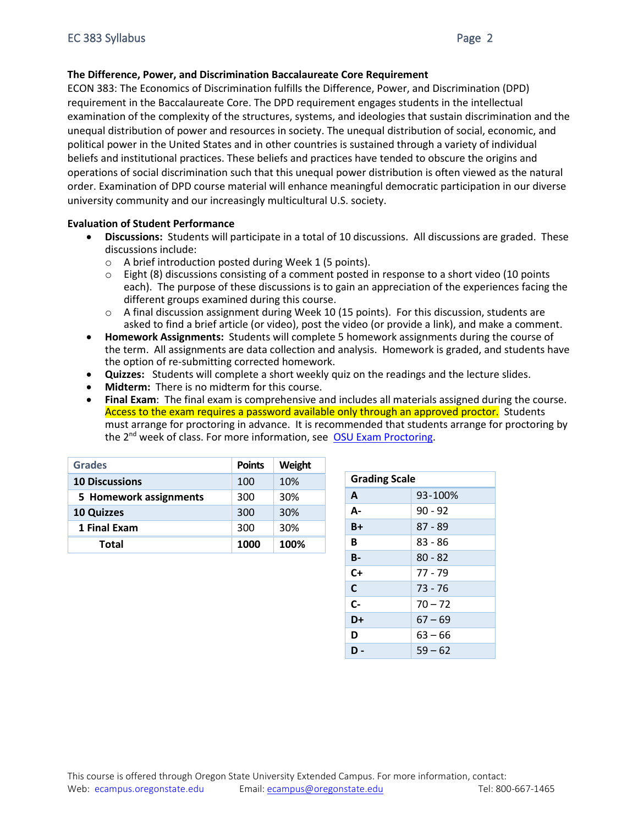# **The Difference, Power, and Discrimination Baccalaureate Core Requirement**

ECON 383: The Economics of Discrimination fulfills the Difference, Power, and Discrimination (DPD) requirement in the Baccalaureate Core. The DPD requirement engages students in the intellectual examination of the complexity of the structures, systems, and ideologies that sustain discrimination and the unequal distribution of power and resources in society. The unequal distribution of social, economic, and political power in the United States and in other countries is sustained through a variety of individual beliefs and institutional practices. These beliefs and practices have tended to obscure the origins and operations of social discrimination such that this unequal power distribution is often viewed as the natural order. Examination of DPD course material will enhance meaningful democratic participation in our diverse university community and our increasingly multicultural U.S. society.

# **Evaluation of Student Performance**

- **Discussions:** Students will participate in a total of 10 discussions. All discussions are graded. These discussions include:
	- o A brief introduction posted during Week 1 (5 points).
	- $\circ$  Eight (8) discussions consisting of a comment posted in response to a short video (10 points each). The purpose of these discussions is to gain an appreciation of the experiences facing the different groups examined during this course.
	- $\circ$  A final discussion assignment during Week 10 (15 points). For this discussion, students are asked to find a brief article (or video), post the video (or provide a link), and make a comment.
- **Homework Assignments:** Students will complete 5 homework assignments during the course of the term. All assignments are data collection and analysis. Homework is graded, and students have the option of re-submitting corrected homework.
- **Quizzes:** Students will complete a short weekly quiz on the readings and the lecture slides.
- **Midterm:** There is no midterm for this course.
- **Final Exam**: The final exam is comprehensive and includes all materials assigned during the course. Access to the exam requires a password available only through an approved proctor. Students must arrange for proctoring in advance. It is recommended that students arrange for proctoring by the 2<sup>nd</sup> week of class. For more information, see [OSU Exam Proctoring.](https://ecampus.oregonstate.edu/services/proctoring/proctorguidelines.htm)

| <b>Grades</b>          | <b>Points</b> | Weight |
|------------------------|---------------|--------|
| <b>10 Discussions</b>  | 100           | 10%    |
| 5 Homework assignments | 300           | 30%    |
| <b>10 Quizzes</b>      | 300           | 30%    |
| 1 Final Exam           | 300           | 30%    |
| Total                  | 1000          | 100%   |

| <b>Grading Scale</b> |           |  |
|----------------------|-----------|--|
| A                    | 93-100%   |  |
| А-                   | $90 - 92$ |  |
| B+                   | $87 - 89$ |  |
| в                    | 83 - 86   |  |
| <b>B-</b>            | $80 - 82$ |  |
| C+                   | 77 - 79   |  |
| C                    | 73 - 76   |  |
| C-                   | $70 - 72$ |  |
| D+                   | $67 - 69$ |  |
| D                    | $63 - 66$ |  |
| D -                  | $59 - 62$ |  |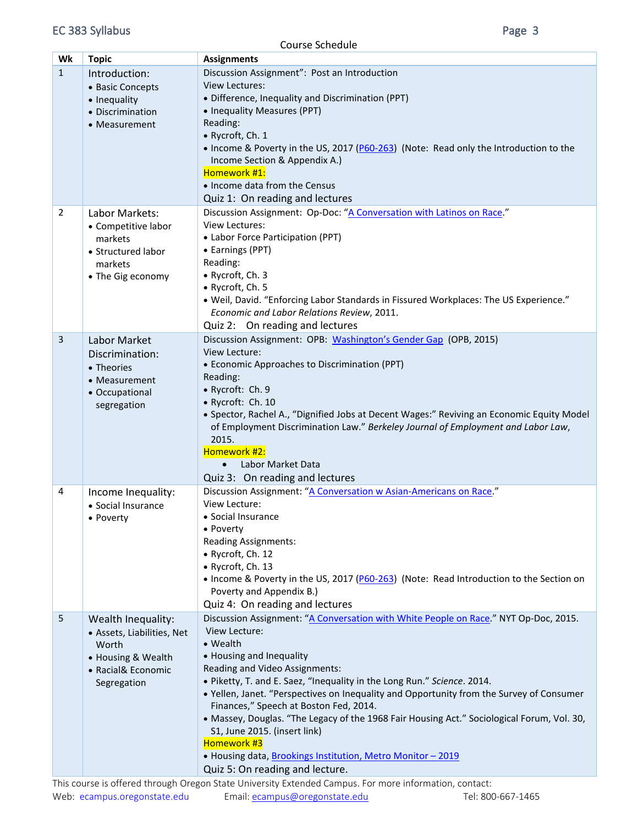Course Schedule

| Wk           | <b>Topic</b>               | <b>Assignments</b>                                                                         |
|--------------|----------------------------|--------------------------------------------------------------------------------------------|
| $\mathbf{1}$ | Introduction:              | Discussion Assignment": Post an Introduction                                               |
|              | • Basic Concepts           | <b>View Lectures:</b>                                                                      |
|              | • Inequality               | • Difference, Inequality and Discrimination (PPT)                                          |
|              | • Discrimination           | • Inequality Measures (PPT)                                                                |
|              | • Measurement              | Reading:                                                                                   |
|              |                            | • Rycroft, Ch. 1                                                                           |
|              |                            | . Income & Poverty in the US, 2017 (P60-263) (Note: Read only the Introduction to the      |
|              |                            | Income Section & Appendix A.)                                                              |
|              |                            | Homework #1:                                                                               |
|              |                            | • Income data from the Census                                                              |
|              |                            | Quiz 1: On reading and lectures                                                            |
| 2            | Labor Markets:             | Discussion Assignment: Op-Doc: "A Conversation with Latinos on Race."                      |
|              | • Competitive labor        | View Lectures:                                                                             |
|              | markets                    | • Labor Force Participation (PPT)                                                          |
|              | • Structured labor         | • Earnings (PPT)                                                                           |
|              | markets                    | Reading:                                                                                   |
|              |                            | • Rycroft, Ch. 3                                                                           |
|              | • The Gig economy          | • Rycroft, Ch. 5                                                                           |
|              |                            | • Weil, David. "Enforcing Labor Standards in Fissured Workplaces: The US Experience."      |
|              |                            | Economic and Labor Relations Review, 2011.                                                 |
|              |                            |                                                                                            |
|              |                            | Quiz 2: On reading and lectures                                                            |
| 3            | Labor Market               | Discussion Assignment: OPB: Washington's Gender Gap (OPB, 2015)                            |
|              | Discrimination:            | View Lecture:                                                                              |
|              | • Theories                 | • Economic Approaches to Discrimination (PPT)                                              |
|              | • Measurement              | Reading:                                                                                   |
|              | • Occupational             | • Rycroft: Ch. 9                                                                           |
|              | segregation                | • Rycroft: Ch. 10                                                                          |
|              |                            | • Spector, Rachel A., "Dignified Jobs at Decent Wages:" Reviving an Economic Equity Model  |
|              |                            | of Employment Discrimination Law." Berkeley Journal of Employment and Labor Law,           |
|              |                            | 2015.                                                                                      |
|              |                            | Homework #2:                                                                               |
|              |                            | Labor Market Data<br>$\bullet$                                                             |
|              |                            | Quiz 3: On reading and lectures                                                            |
| 4            | Income Inequality:         | Discussion Assignment: "A Conversation w Asian-Americans on Race."                         |
|              | • Social Insurance         | View Lecture:                                                                              |
|              | • Poverty                  | · Social Insurance                                                                         |
|              |                            | • Poverty                                                                                  |
|              |                            | <b>Reading Assignments:</b>                                                                |
|              |                            | • Rycroft, Ch. 12                                                                          |
|              |                            | • Rycroft, Ch. 13                                                                          |
|              |                            | • Income & Poverty in the US, 2017 (P60-263) (Note: Read Introduction to the Section on    |
|              |                            | Poverty and Appendix B.)                                                                   |
|              |                            | Quiz 4: On reading and lectures                                                            |
| 5            | Wealth Inequality:         | Discussion Assignment: "A Conversation with White People on Race." NYT Op-Doc, 2015.       |
|              | • Assets, Liabilities, Net | View Lecture:                                                                              |
|              | Worth                      | • Wealth                                                                                   |
|              | • Housing & Wealth         | • Housing and Inequality                                                                   |
|              | • Racial& Economic         | Reading and Video Assignments:                                                             |
|              | Segregation                | . Piketty, T. and E. Saez, "Inequality in the Long Run." Science. 2014.                    |
|              |                            | . Yellen, Janet. "Perspectives on Inequality and Opportunity from the Survey of Consumer   |
|              |                            | Finances," Speech at Boston Fed, 2014.                                                     |
|              |                            | • Massey, Douglas. "The Legacy of the 1968 Fair Housing Act." Sociological Forum, Vol. 30, |
|              |                            | S1, June 2015. (insert link)                                                               |
|              |                            | Homework #3                                                                                |
|              |                            | . Housing data, Brookings Institution, Metro Monitor - 2019                                |
|              |                            | Quiz 5: On reading and lecture.                                                            |
|              |                            |                                                                                            |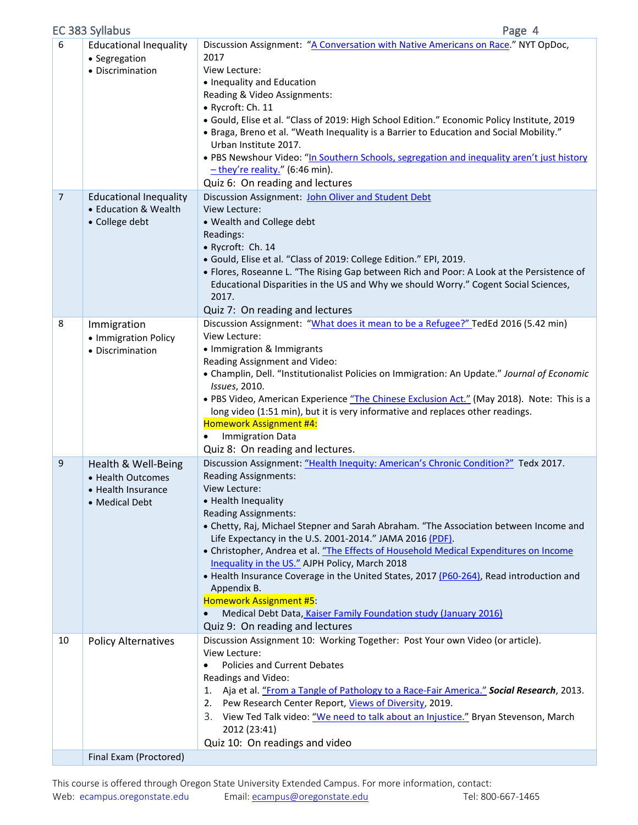|                | EC 383 Syllabus                                                                          | Page 4                                                                                                                                                                                                                                                                                                                                                                                                                                                                                                                                                                                                                                                                                                                               |
|----------------|------------------------------------------------------------------------------------------|--------------------------------------------------------------------------------------------------------------------------------------------------------------------------------------------------------------------------------------------------------------------------------------------------------------------------------------------------------------------------------------------------------------------------------------------------------------------------------------------------------------------------------------------------------------------------------------------------------------------------------------------------------------------------------------------------------------------------------------|
| 6              | <b>Educational Inequality</b><br>• Segregation<br>• Discrimination                       | Discussion Assignment: "A Conversation with Native Americans on Race." NYT OpDoc,<br>2017<br>View Lecture:<br>• Inequality and Education<br>Reading & Video Assignments:<br>· Rycroft: Ch. 11<br>· Gould, Elise et al. "Class of 2019: High School Edition." Economic Policy Institute, 2019<br>• Braga, Breno et al. "Weath Inequality is a Barrier to Education and Social Mobility."<br>Urban Institute 2017.<br>. PBS Newshour Video: "In Southern Schools, segregation and inequality aren't just history<br>$-$ they're reality." (6:46 min).<br>Quiz 6: On reading and lectures                                                                                                                                               |
| $\overline{7}$ | <b>Educational Inequality</b><br>• Education & Wealth<br>• College debt                  | Discussion Assignment: John Oliver and Student Debt<br>View Lecture:<br>• Wealth and College debt<br>Readings:<br>• Rycroft: Ch. 14<br>· Gould, Elise et al. "Class of 2019: College Edition." EPI, 2019.<br>• Flores, Roseanne L. "The Rising Gap between Rich and Poor: A Look at the Persistence of<br>Educational Disparities in the US and Why we should Worry." Cogent Social Sciences,<br>2017.<br>Quiz 7: On reading and lectures                                                                                                                                                                                                                                                                                            |
| 8              | Immigration<br>• Immigration Policy<br>• Discrimination                                  | Discussion Assignment: "What does it mean to be a Refugee?" TedEd 2016 (5.42 min)<br>View Lecture:<br>• Immigration & Immigrants<br>Reading Assignment and Video:<br>• Champlin, Dell. "Institutionalist Policies on Immigration: An Update." Journal of Economic<br>Issues, 2010.<br>. PBS Video, American Experience "The Chinese Exclusion Act." (May 2018). Note: This is a<br>long video (1:51 min), but it is very informative and replaces other readings.<br><b>Homework Assignment #4:</b><br><b>Immigration Data</b><br>Quiz 8: On reading and lectures.                                                                                                                                                                   |
| 9              | Health & Well-Being<br>• Health Outcomes<br>$\bullet$ Health Insurance<br>• Medical Debt | Discussion Assignment: "Health Inequity: American's Chronic Condition?" Tedx 2017.<br><b>Reading Assignments:</b><br>View Lecture:<br>• Health Inequality<br><b>Reading Assignments:</b><br>• Chetty, Raj, Michael Stepner and Sarah Abraham. "The Association between Income and<br>Life Expectancy in the U.S. 2001-2014." JAMA 2016 (PDF).<br>• Christopher, Andrea et al. "The Effects of Household Medical Expenditures on Income<br>Inequality in the US." AJPH Policy, March 2018<br>. Health Insurance Coverage in the United States, 2017 (P60-264), Read introduction and<br>Appendix B.<br>Homework Assignment #5:<br>Medical Debt Data, Kaiser Family Foundation study (January 2016)<br>Quiz 9: On reading and lectures |
| 10             | <b>Policy Alternatives</b>                                                               | Discussion Assignment 10: Working Together: Post Your own Video (or article).<br>View Lecture:<br>Policies and Current Debates<br>$\bullet$<br>Readings and Video:<br>1. Aja et al. "From a Tangle of Pathology to a Race-Fair America." Social Research, 2013.<br>2. Pew Research Center Report, Views of Diversity, 2019.<br>View Ted Talk video: "We need to talk about an Injustice." Bryan Stevenson, March<br>3.<br>2012 (23:41)<br>Quiz 10: On readings and video                                                                                                                                                                                                                                                             |
|                | Final Exam (Proctored)                                                                   |                                                                                                                                                                                                                                                                                                                                                                                                                                                                                                                                                                                                                                                                                                                                      |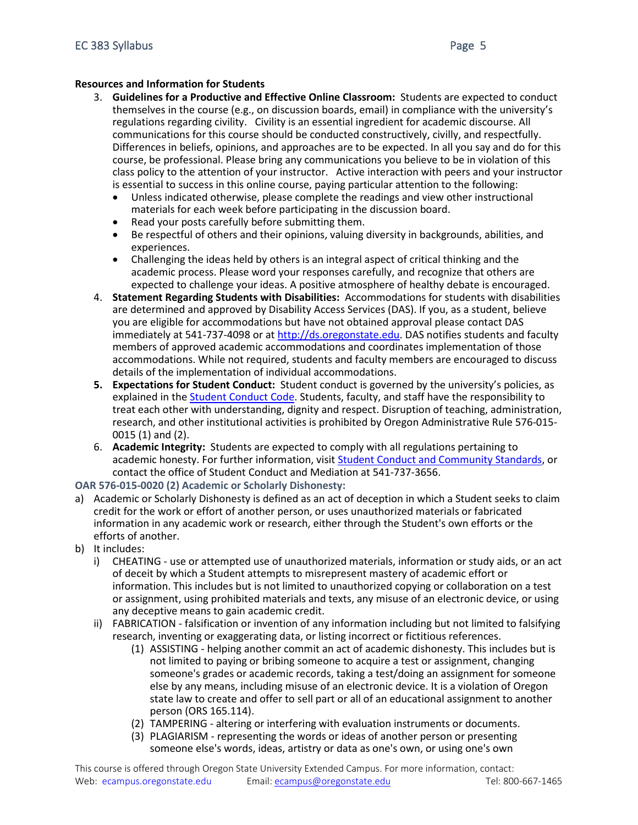# **Resources and Information for Students**

- 3. **Guidelines for a Productive and Effective Online Classroom:** Students are expected to conduct themselves in the course (e.g., on discussion boards, email) in compliance with the university's regulations regarding civility. Civility is an essential ingredient for academic discourse. All communications for this course should be conducted constructively, civilly, and respectfully. Differences in beliefs, opinions, and approaches are to be expected. In all you say and do for this course, be professional. Please bring any communications you believe to be in violation of this class policy to the attention of your instructor. Active interaction with peers and your instructor is essential to success in this online course, paying particular attention to the following:
	- Unless indicated otherwise, please complete the readings and view other instructional materials for each week before participating in the discussion board.
	- Read your posts carefully before submitting them.
	- Be respectful of others and their opinions, valuing diversity in backgrounds, abilities, and experiences.
	- Challenging the ideas held by others is an integral aspect of critical thinking and the academic process. Please word your responses carefully, and recognize that others are expected to challenge your ideas. A positive atmosphere of healthy debate is encouraged.
- 4. **Statement Regarding Students with Disabilities:** Accommodations for students with disabilities are determined and approved by Disability Access Services (DAS). If you, as a student, believe you are eligible for accommodations but have not obtained approval please contact DAS immediately at 541-737-4098 or at [http://ds.oregonstate.edu.](http://ds.oregonstate.edu/) DAS notifies students and faculty members of approved academic accommodations and coordinates implementation of those accommodations. While not required, students and faculty members are encouraged to discuss details of the implementation of individual accommodations.
- **5. Expectations for Student Conduct:** Student conduct is governed by the university's policies, as explained in the [Student Conduct Code.](http://studentlife.oregonstate.edu/studentconduct/) Students, faculty, and staff have the responsibility to treat each other with understanding, dignity and respect. Disruption of teaching, administration, research, and other institutional activities is prohibited by Oregon Administrative Rule 576-015- 0015 (1) and (2).
- 6. **Academic Integrity:** Students are expected to comply with all regulations pertaining to academic honesty. For further information, visit [Student Conduct and Community Standards,](http://studentlife.oregonstate.edu/studentconduct/offenses-0) or contact the office of Student Conduct and Mediation at 541-737-3656.

**OAR 576-015-0020 (2) Academic or Scholarly Dishonesty:**

- a) Academic or Scholarly Dishonesty is defined as an act of deception in which a Student seeks to claim credit for the work or effort of another person, or uses unauthorized materials or fabricated information in any academic work or research, either through the Student's own efforts or the efforts of another.
- b) It includes:
	- i) CHEATING use or attempted use of unauthorized materials, information or study aids, or an act of deceit by which a Student attempts to misrepresent mastery of academic effort or information. This includes but is not limited to unauthorized copying or collaboration on a test or assignment, using prohibited materials and texts, any misuse of an electronic device, or using any deceptive means to gain academic credit.
	- ii) FABRICATION falsification or invention of any information including but not limited to falsifying research, inventing or exaggerating data, or listing incorrect or fictitious references.
		- (1) ASSISTING helping another commit an act of academic dishonesty. This includes but is not limited to paying or bribing someone to acquire a test or assignment, changing someone's grades or academic records, taking a test/doing an assignment for someone else by any means, including misuse of an electronic device. It is a violation of Oregon state law to create and offer to sell part or all of an educational assignment to another person (ORS 165.114).
		- (2) TAMPERING altering or interfering with evaluation instruments or documents.
		- (3) PLAGIARISM representing the words or ideas of another person or presenting someone else's words, ideas, artistry or data as one's own, or using one's own